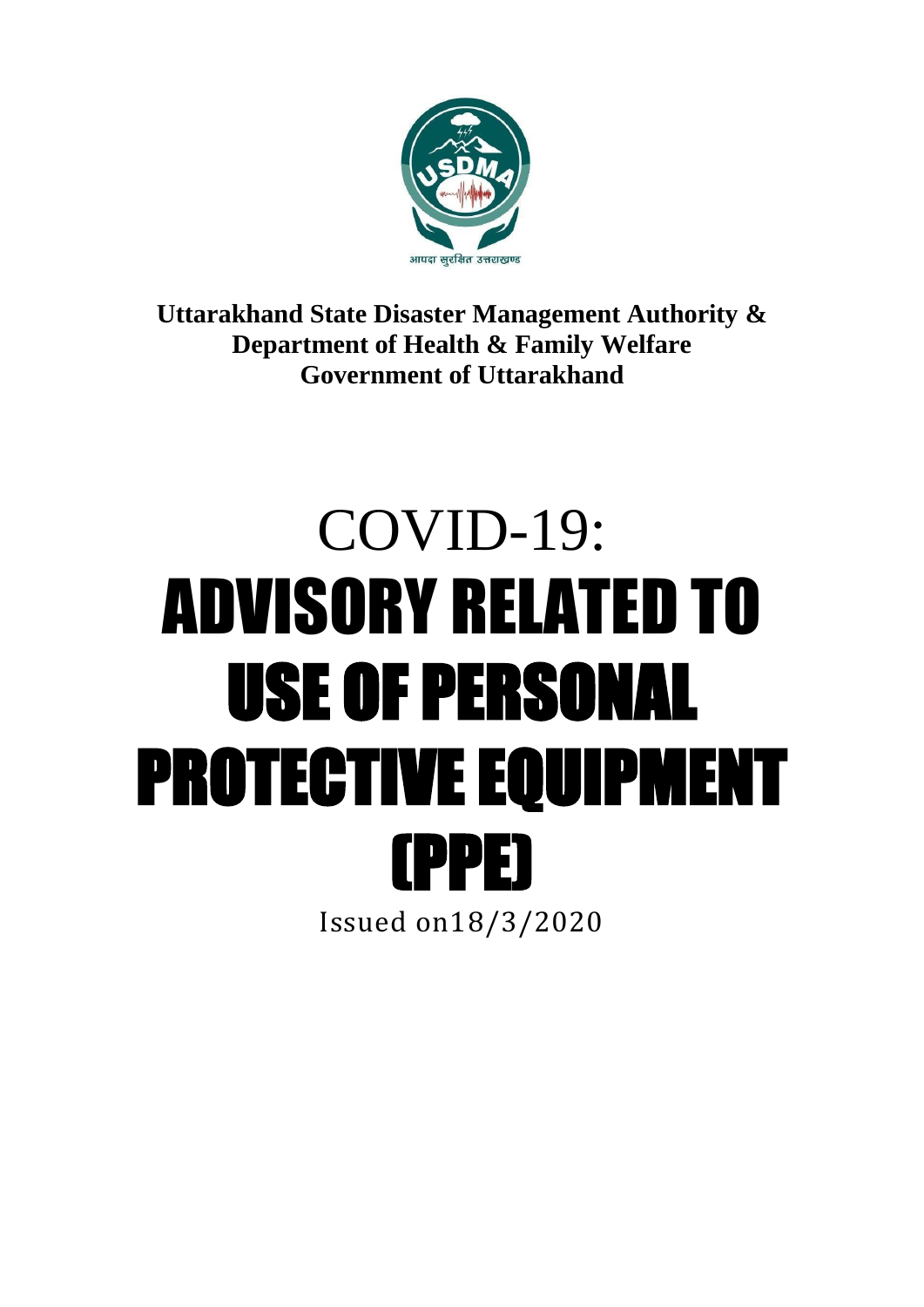

**Uttarakhand State Disaster Management Authority & Department of Health & Family Welfare Government of Uttarakhand**

# COVID-19: ADVISORY RELATED TO USE OF PERSONAL PROTECTIVE EQUIPMENT (PPE) Issued on18/3/2020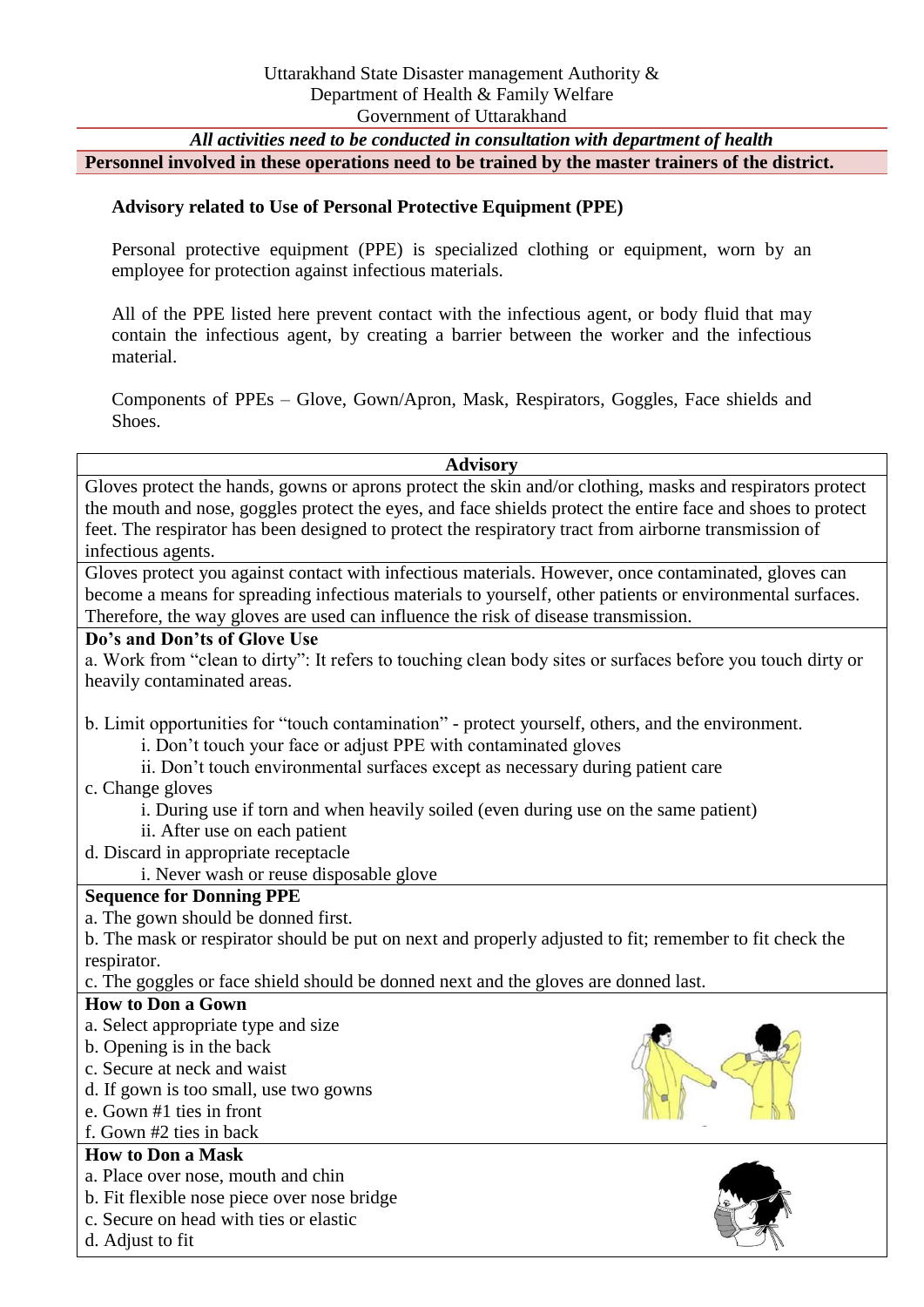#### *All activities need to be conducted in consultation with department of health* **Personnel involved in these operations need to be trained by the master trainers of the district.**

#### **Advisory related to Use of Personal Protective Equipment (PPE)**

Personal protective equipment (PPE) is specialized clothing or equipment, worn by an employee for protection against infectious materials.

All of the PPE listed here prevent contact with the infectious agent, or body fluid that may contain the infectious agent, by creating a barrier between the worker and the infectious material.

Components of PPEs – Glove, Gown/Apron, Mask, Respirators, Goggles, Face shields and Shoes.

#### **Advisory**

Gloves protect the hands, gowns or aprons protect the skin and/or clothing, masks and respirators protect the mouth and nose, goggles protect the eyes, and face shields protect the entire face and shoes to protect feet. The respirator has been designed to protect the respiratory tract from airborne transmission of infectious agents.

Gloves protect you against contact with infectious materials. However, once contaminated, gloves can become a means for spreading infectious materials to yourself, other patients or environmental surfaces. Therefore, the way gloves are used can influence the risk of disease transmission.

#### **Do's and Don'ts of Glove Use**

a. Work from "clean to dirty": It refers to touching clean body sites or surfaces before you touch dirty or heavily contaminated areas.

b. Limit opportunities for "touch contamination" - protect yourself, others, and the environment.

- i. Don't touch your face or adjust PPE with contaminated gloves
- ii. Don't touch environmental surfaces except as necessary during patient care
- c. Change gloves
	- i. During use if torn and when heavily soiled (even during use on the same patient)
	- ii. After use on each patient
- d. Discard in appropriate receptacle
	- i. Never wash or reuse disposable glove

#### **Sequence for Donning PPE**

a. The gown should be donned first.

b. The mask or respirator should be put on next and properly adjusted to fit; remember to fit check the respirator.

c. The goggles or face shield should be donned next and the gloves are donned last.

#### **How to Don a Gown**

- a. Select appropriate type and size
- b. Opening is in the back
- c. Secure at neck and waist
- d. If gown is too small, use two gowns
- e. Gown #1 ties in front
- f. Gown #2 ties in back

#### **How to Don a Mask**

- a. Place over nose, mouth and chin
- b. Fit flexible nose piece over nose bridge
- c. Secure on head with ties or elastic
- d. Adjust to fit



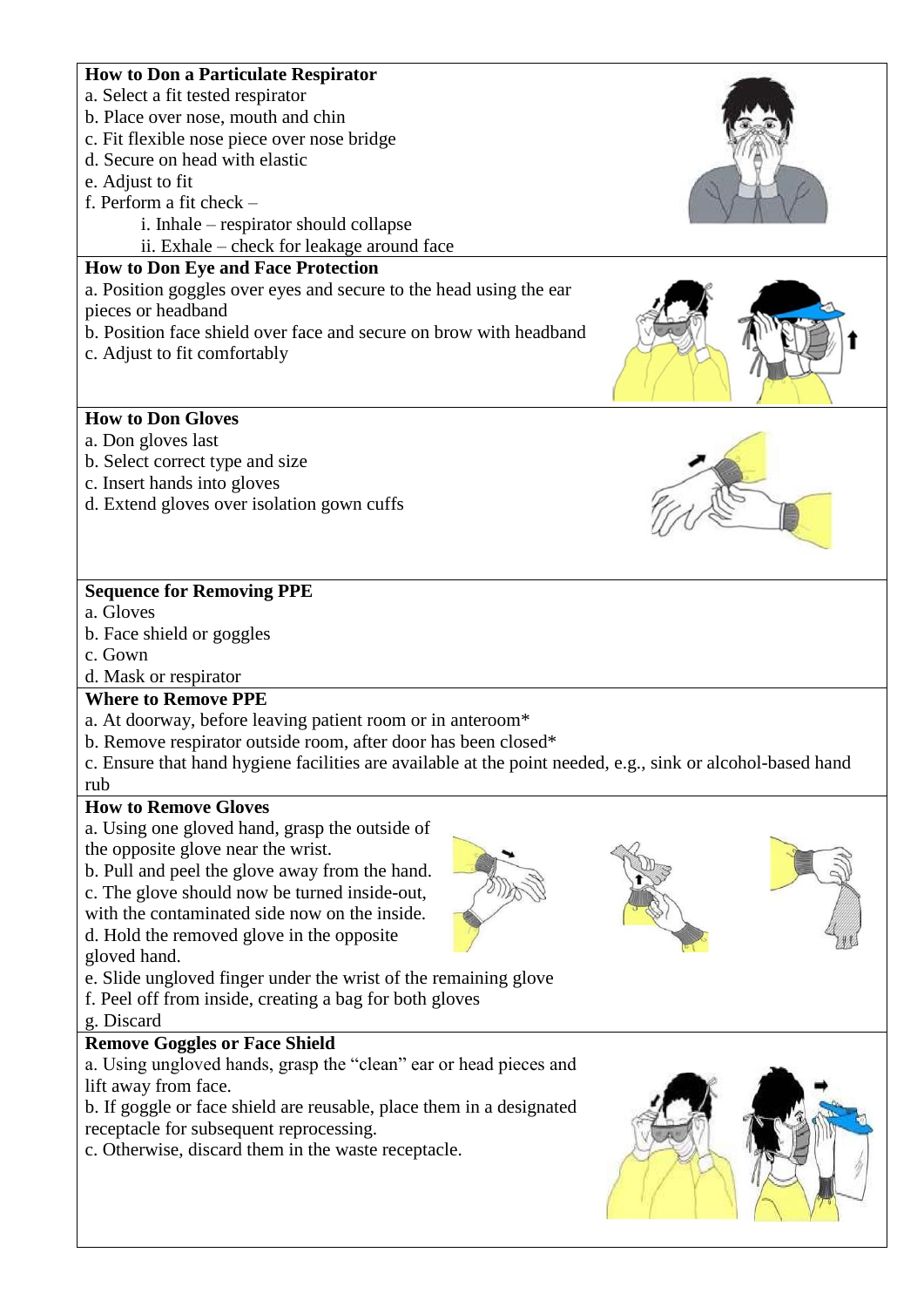#### **How to Don a Particulate Respirator**

- a. Select a fit tested respirator
- b. Place over nose, mouth and chin
- c. Fit flexible nose piece over nose bridge
- d. Secure on head with elastic
- e. Adjust to fit
- f. Perform a fit check
	- i. Inhale respirator should collapse
	- ii. Exhale check for leakage around face

## **How to Don Eye and Face Protection**

a. Position goggles over eyes and secure to the head using the ear pieces or headband

- b. Position face shield over face and secure on brow with headband
- c. Adjust to fit comfortably

## **How to Don Gloves**

- a. Don gloves last
- b. Select correct type and size
- c. Insert hands into gloves
- d. Extend gloves over isolation gown cuffs

# **Sequence for Removing PPE**

- a. Gloves
- b. Face shield or goggles
- c. Gown

# d. Mask or respirator

## **Where to Remove PPE**

- a. At doorway, before leaving patient room or in anteroom\*
- b. Remove respirator outside room, after door has been closed\*
- c. Ensure that hand hygiene facilities are available at the point needed, e.g., sink or alcohol-based hand rub

#### **How to Remove Gloves**

a. Using one gloved hand, grasp the outside of the opposite glove near the wrist.

b. Pull and peel the glove away from the hand. c. The glove should now be turned inside-out, with the contaminated side now on the inside.

d. Hold the removed glove in the opposite gloved hand.

- e. Slide ungloved finger under the wrist of the remaining glove
- f. Peel off from inside, creating a bag for both gloves
- g. Discard

# **Remove Goggles or Face Shield**

a. Using ungloved hands, grasp the "clean" ear or head pieces and lift away from face.

b. If goggle or face shield are reusable, place them in a designated receptacle for subsequent reprocessing.

c. Otherwise, discard them in the waste receptacle.